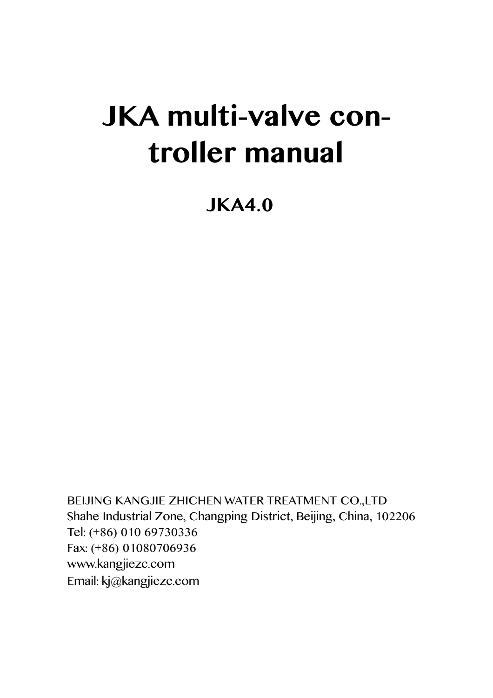# **JKA multi-valve controller manual**

**JKA4.0**

BEIJING KANGJIE ZHICHEN WATER TREATMENT CO.,LTD Shahe Industrial Zone, Changping District, Beijing, China, 102206 Tel: (+86) 010 69730336 Fax: (+86) 01080706936 www.kangjiezc.com Email: kj@kangjiezc.com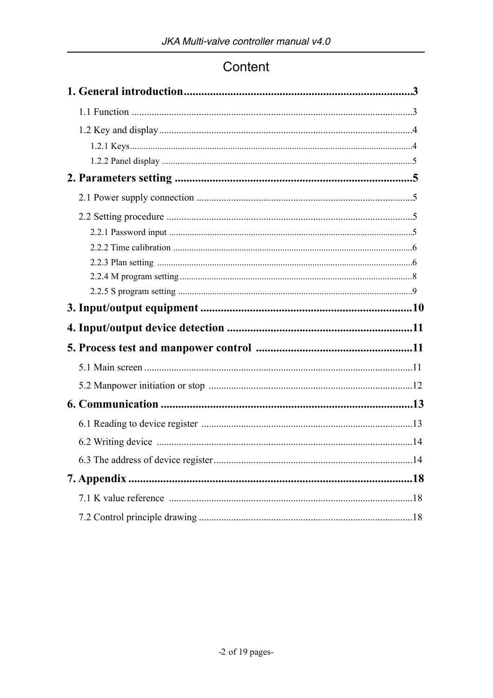# Content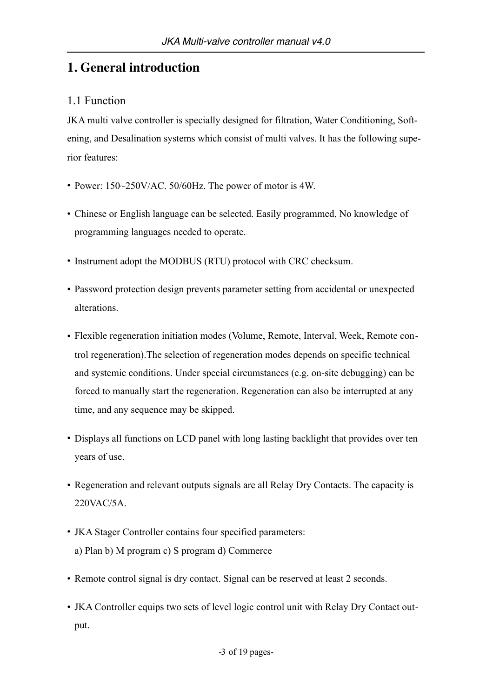# **1. General introduction**

## 1.1 Function

JKA multi valve controller is specially designed for filtration, Water Conditioning, Softening, and Desalination systems which consist of multi valves. It has the following superior features:

- Power: 150~250V/AC. 50/60Hz. The power of motor is 4W.
- Chinese or English language can be selected. Easily programmed, No knowledge of programming languages needed to operate.
- Instrument adopt the MODBUS (RTU) protocol with CRC checksum.
- Password protection design prevents parameter setting from accidental or unexpected alterations.
- Flexible regeneration initiation modes (Volume, Remote, Interval, Week, Remote control regeneration).The selection of regeneration modes depends on specific technical and systemic conditions. Under special circumstances (e.g. on-site debugging) can be forced to manually start the regeneration. Regeneration can also be interrupted at any time, and any sequence may be skipped.
- Displays all functions on LCD panel with long lasting backlight that provides over ten years of use.
- Regeneration and relevant outputs signals are all Relay Dry Contacts. The capacity is 220VAC/5A.
- JKA Stager Controller contains four specified parameters: a) Plan b) M program c) S program d) Commerce
- Remote control signal is dry contact. Signal can be reserved at least 2 seconds.
- JKA Controller equips two sets of level logic control unit with Relay Dry Contact output.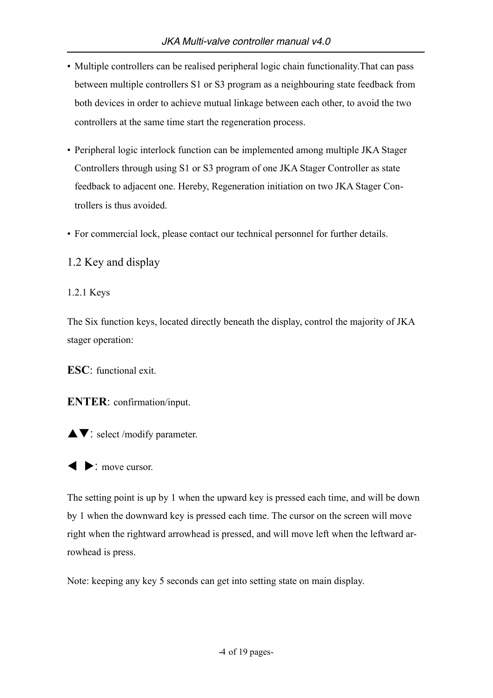- Multiple controllers can be realised peripheral logic chain functionality.That can pass between multiple controllers S1 or S3 program as a neighbouring state feedback from both devices in order to achieve mutual linkage between each other, to avoid the two controllers at the same time start the regeneration process.
- Peripheral logic interlock function can be implemented among multiple JKA Stager Controllers through using S1 or S3 program of one JKA Stager Controller as state feedback to adjacent one. Hereby, Regeneration initiation on two JKA Stager Controllers is thus avoided.
- For commercial lock, please contact our technical personnel for further details.

1.2 Key and display

1.2.1 Keys

The Six function keys, located directly beneath the display, control the majority of JKA stager operation:

**ESC**: functional exit.

**ENTER**: confirmation/input.

 $\blacktriangle \blacktriangledown$ : select /modify parameter.

 $\bullet$ : move cursor.

The setting point is up by 1 when the upward key is pressed each time, and will be down by 1 when the downward key is pressed each time. The cursor on the screen will move right when the rightward arrowhead is pressed, and will move left when the leftward arrowhead is press.

Note: keeping any key 5 seconds can get into setting state on main display.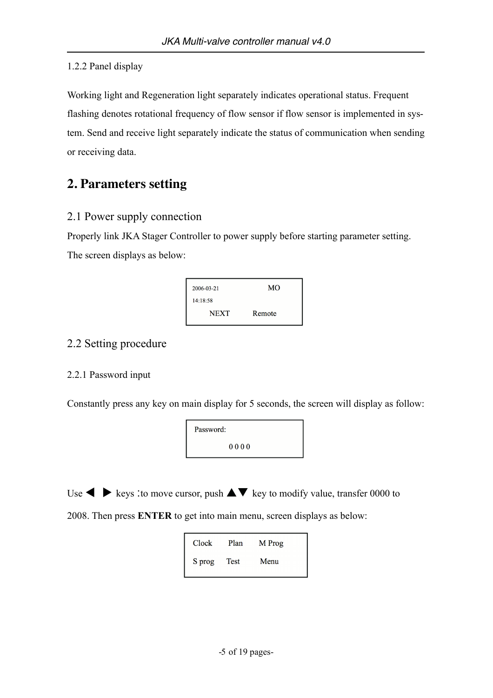#### 1.2.2 Panel display

Working light and Regeneration light separately indicates operational status. Frequent flashing denotes rotational frequency of flow sensor if flow sensor is implemented in system. Send and receive light separately indicate the status of communication when sending or receiving data.

# **2. Parameters setting**

## 2.1 Power supply connection

Properly link JKA Stager Controller to power supply before starting parameter setting. The screen displays as below:



## 2.2 Setting procedure

#### 2.2.1 Password input

Constantly press any key on main display for 5 seconds, the screen will display as follow:



Use  $\blacklozenge \blacktriangleright$  keys :to move cursor, push  $\blacktriangle \blacktriangledown$  key to modify value, transfer 0000 to

2008. Then press **ENTER** to get into main menu, screen displays as below:

| Clock  | Plan | M Prog |
|--------|------|--------|
| S prog | Test | Menu   |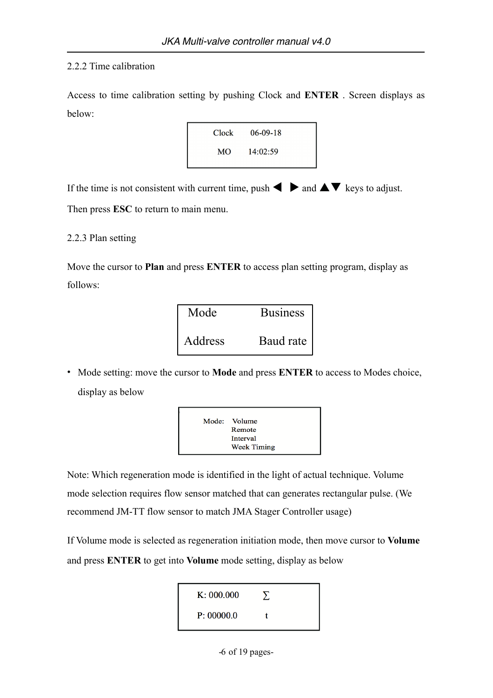#### 2.2.2 Time calibration

Access to time calibration setting by pushing Clock and **ENTER** . Screen displays as below:



If the time is not consistent with current time, push  $\blacktriangle$   $\blacktriangleright$  and  $\blacktriangle \blacktriangleright$  keys to adjust.

Then press **ESC** to return to main menu.

2.2.3 Plan setting

Move the cursor to **Plan** and press **ENTER** to access plan setting program, display as follows:

| Mode    | <b>Business</b> |
|---------|-----------------|
| Address | Baud rate       |

• Mode setting: move the cursor to **Mode** and press **ENTER** to access to Modes choice, display as below



Note: Which regeneration mode is identified in the light of actual technique. Volume mode selection requires flow sensor matched that can generates rectangular pulse. (We recommend JM-TT flow sensor to match JMA Stager Controller usage)

If Volume mode is selected as regeneration initiation mode, then move cursor to **Volume** and press **ENTER** to get into **Volume** mode setting, display as below

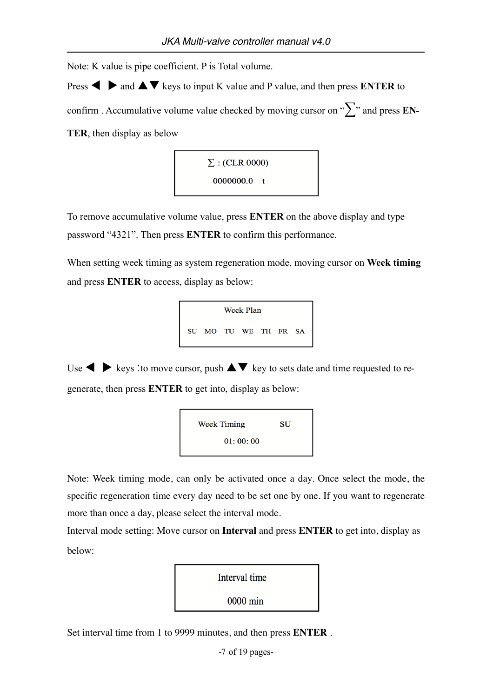Note: K value is pipe coefficient. P is Total volume.

**Press**  $\blacktriangle$   $\blacktriangleright$  and  $\blacktriangle$   $\blacktriangleright$  keys to input K value and P value, and then press **ENTER** to confirm . Accumulative volume value checked by moving cursor on "∑" and press **EN-TER**, then display as below



To remove accumulative volume value, press **ENTER** on the above display and type password "4321". Then press **ENTER** to confirm this performance.

When setting week timing as system regeneration mode, moving cursor on **Week timing** and press **ENTER** to access, display as below:



Use  $\blacklozenge \blacktriangleright$  keys : to move cursor, push  $\blacktriangle \blacktriangledown$  key to sets date and time requested to regenerate, then press **ENTER** to get into, display as below:



Note: Week timing mode, can only be activated once a day. Once select the mode, the specific regeneration time every day need to be set one by one. If you want to regenerate more than once a day, please select the interval mode.

Interval mode setting: Move cursor on **Interval** and press **ENTER** to get into, display as below:



Set interval time from 1 to 9999 minutes, and then press **ENTER** .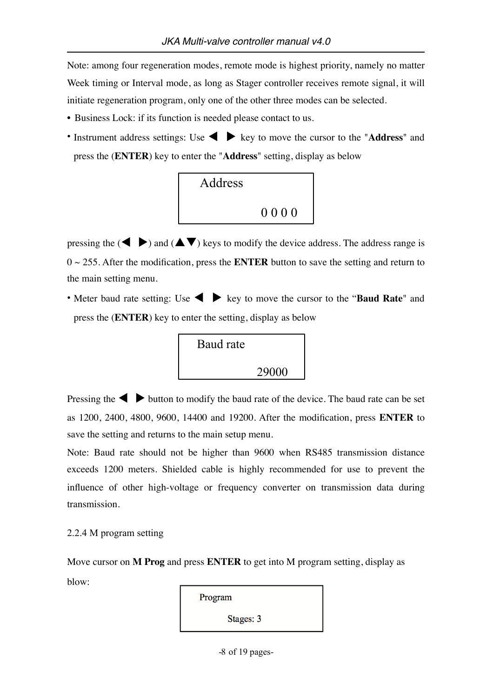Note: among four regeneration modes, remote mode is highest priority, namely no matter Week timing or Interval mode, as long as Stager controller receives remote signal, it will initiate regeneration program, only one of the other three modes can be selected.

- Business Lock: if its function is needed please contact to us.
- Instrument address settings: Use  $\blacklozenge \blacktriangleright$  key to move the cursor to the "**Address**" and press the (**ENTER**) key to enter the "**Address**" setting, display as below



pressing the  $(\blacktriangle \blacktriangleright)$  and  $(\blacktriangle \blacktriangleright)$  keys to modify the device address. The address range is 0 ~ 255. After the modification, press the **ENTER** button to save the setting and return to the main setting menu.

• Meter baud rate setting: Use  $\blacklozenge$  **b** key to move the cursor to the "**Baud Rate**" and press the (**ENTER**) key to enter the setting, display as below



Pressing the  $\blacklozenge \blacktriangleright$  button to modify the baud rate of the device. The baud rate can be set as 1200, 2400, 4800, 9600, 14400 and 19200. After the modification, press **ENTER** to save the setting and returns to the main setup menu.

Note: Baud rate should not be higher than 9600 when RS485 transmission distance exceeds 1200 meters. Shielded cable is highly recommended for use to prevent the influence of other high-voltage or frequency converter on transmission data during transmission.

2.2.4 M program setting

Move cursor on **M Prog** and press **ENTER** to get into M program setting, display as blow:

Program Stages: 3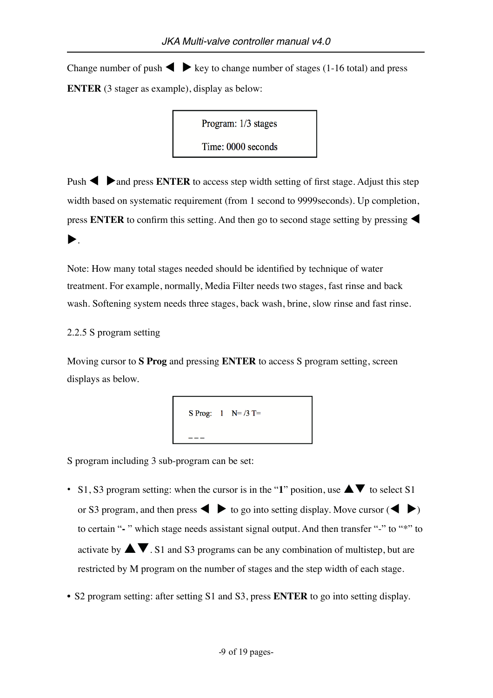Change number of push  $\blacklozenge$   $\blacktriangleright$  key to change number of stages (1-16 total) and press **ENTER** (3 stager as example), display as below:

Program: 1/3 stages

Time: 0000 seconds

Push  $\blacktriangle$   $\blacktriangleright$  and press **ENTER** to access step width setting of first stage. Adjust this step width based on systematic requirement (from 1 second to 9999seconds). Up completion, press **ENTER** to confirm this setting. And then go to second stage setting by pressing  $\blacktriangleleft$  $\blacktriangleright$  .

Note: How many total stages needed should be identified by technique of water treatment. For example, normally, Media Filter needs two stages, fast rinse and back wash. Softening system needs three stages, back wash, brine, slow rinse and fast rinse.

#### 2.2.5 S program setting

Moving cursor to **S Prog** and pressing **ENTER** to access S program setting, screen displays as below.

S Prog: 
$$
1 \quad N = \frac{3}{1} \quad T =
$$

S program including 3 sub-program can be set:

- S1, S3 program setting: when the cursor is in the "1" position, use  $\triangle \blacktriangledown$  to select S1 or S3 program, and then press  $\diamondsuit$   $\diamond$  to go into setting display. Move cursor  $(\diamondsuit \gt)$ to certain "- " which stage needs assistant signal output. And then transfer "-" to "\*" to activate by  $\blacktriangle \blacktriangledown$ . S1 and S3 programs can be any combination of multistep, but are restricted by M program on the number of stages and the step width of each stage.
- S2 program setting: after setting S1 and S3, press **ENTER** to go into setting display.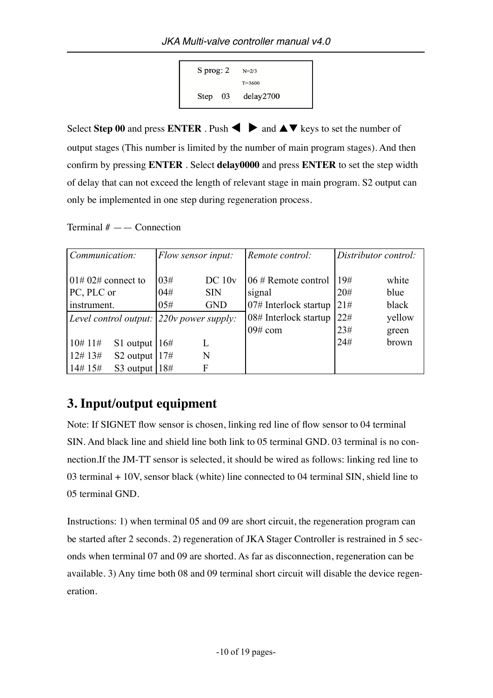

Select **Step 00** and press **ENTER** . Push  $\blacklozenge$  and  $\blacktriangle \blacktriangledown$  keys to set the number of output stages (This number is limited by the number of main program stages). And then confirm by pressing **ENTER** . Select **delay0000** and press **ENTER** to set the step width of delay that can not exceed the length of relevant stage in main program. S2 output can only be implemented in one step during regeneration process.

Terminal  $#$  —  $\sim$  Connection

| Communication:                             |     | Flow sensor input: | Remote control:        | Distributor control: |        |
|--------------------------------------------|-----|--------------------|------------------------|----------------------|--------|
|                                            |     |                    |                        |                      |        |
| $101\# 02\#$ connect to                    | 03# | DC 10v             | $06 \#$ Remote control | 19#                  | white  |
| PC, PLC or                                 | 04# | <b>SIN</b>         | signal                 | 20#                  | blue   |
| instrument.                                | 05# | <b>GND</b>         | 07# Interlock startup  | 21#                  | black  |
| Level control output: $220v$ power supply: |     |                    | 08# Interlock startup  | 22#                  | yellow |
|                                            |     |                    | $09#$ com              | 23#                  | green  |
| 10#11#<br>S1 output $ 16#$                 |     | L                  |                        | 24#                  | brown  |
| 12#13#<br>S2 output $17#$                  |     | N                  |                        |                      |        |
| 14# 15#<br>S3 output $18#$                 |     | F                  |                        |                      |        |

# **3. Input/output equipment**

Note: If SIGNET flow sensor is chosen, linking red line of flow sensor to 04 terminal SIN. And black line and shield line both link to 05 terminal GND. 03 terminal is no connection.If the JM-TT sensor is selected, it should be wired as follows: linking red line to 03 terminal + 10V, sensor black (white) line connected to 04 terminal SIN, shield line to 05 terminal GND.

Instructions: 1) when terminal 05 and 09 are short circuit, the regeneration program can be started after 2 seconds. 2) regeneration of JKA Stager Controller is restrained in 5 seconds when terminal 07 and 09 are shorted. As far as disconnection, regeneration can be available. 3) Any time both 08 and 09 terminal short circuit will disable the device regeneration.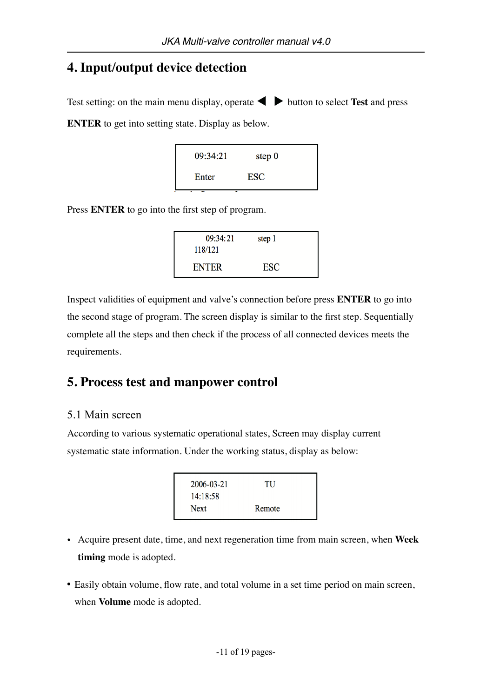# **4. Input/output device detection**

Test setting: on the main menu display, operate  $\blacklozenge$   $\blacktriangleright$  button to select **Test** and press

**ENTER** to get into setting state. Display as below.

| 09:34:21 | step $0$   |  |
|----------|------------|--|
| Enter    | <b>ESC</b> |  |

Press **ENTER** to go into the first step of program.

| 09:34:21     | step 1     |  |
|--------------|------------|--|
| 118/121      |            |  |
| <b>ENTER</b> | <b>ESC</b> |  |

Inspect validities of equipment and valve's connection before press **ENTER** to go into the second stage of program. The screen display is similar to the first step. Sequentially complete all the steps and then check if the process of all connected devices meets the requirements.

# **5. Process test and manpower control**

## 5.1 Main screen

According to various systematic operational states, Screen may display current systematic state information. Under the working status, display as below:

| 2006-03-21  | TU     |  |
|-------------|--------|--|
| 14:18:58    |        |  |
| <b>Next</b> | Remote |  |

- Acquire present date, time, and next regeneration time from main screen, when **Week timing** mode is adopted.
- Easily obtain volume, flow rate, and total volume in a set time period on main screen, when **Volume** mode is adopted.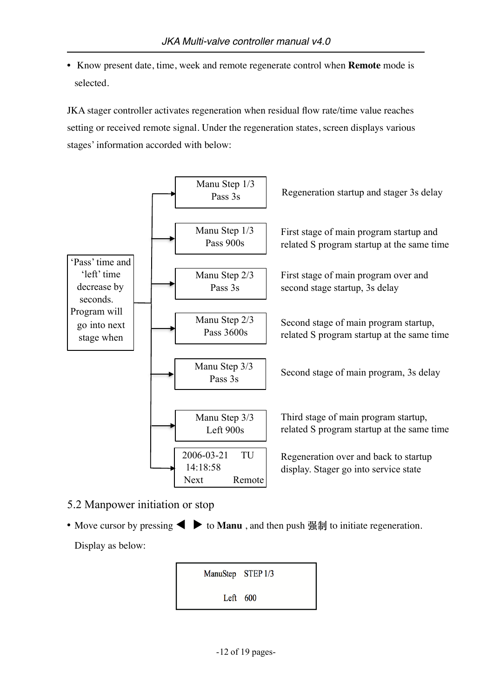• Know present date, time, week and remote regenerate control when **Remote** mode is selected.

JKA stager controller activates regeneration when residual flow rate/time value reaches setting or received remote signal. Under the regeneration states, screen displays various stages' information accorded with below:



- 5.2 Manpower initiation or stop
- Move cursor by pressing  $\blacktriangleleft \blacktriangleright$  to **Manu**, and then push  $\frac{m}{m}$  to initiate regeneration. Display as below:

ManuStep STEP 1/3 Left  $600$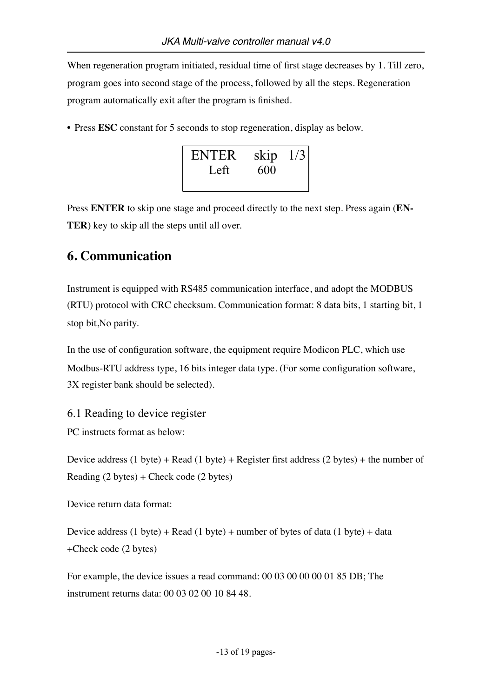When regeneration program initiated, residual time of first stage decreases by 1. Till zero, program goes into second stage of the process, followed by all the steps. Regeneration program automatically exit after the program is finished.

• Press **ESC** constant for 5 seconds to stop regeneration, display as below.



Press **ENTER** to skip one stage and proceed directly to the next step. Press again (**EN-TER**) key to skip all the steps until all over.

## **6. Communication**

Instrument is equipped with RS485 communication interface, and adopt the MODBUS (RTU) protocol with CRC checksum. Communication format: 8 data bits, 1 starting bit, 1 stop bit,No parity.

In the use of configuration software, the equipment require Modicon PLC, which use Modbus-RTU address type, 16 bits integer data type. (For some configuration software, 3X register bank should be selected).

6.1 Reading to device register

PC instructs format as below:

Device address  $(1 \text{ byte}) + \text{Read} (1 \text{ byte}) + \text{ Register first address} (2 \text{ bytes}) + \text{the number of}$ Reading (2 bytes) + Check code (2 bytes)

Device return data format:

Device address  $(1 \text{ byte}) + \text{Read} (1 \text{ byte}) + \text{number of bytes of data} (1 \text{ byte}) + \text{data}$ +Check code (2 bytes)

For example, the device issues a read command: 00 03 00 00 00 01 85 DB; The instrument returns data: 00 03 02 00 10 84 48.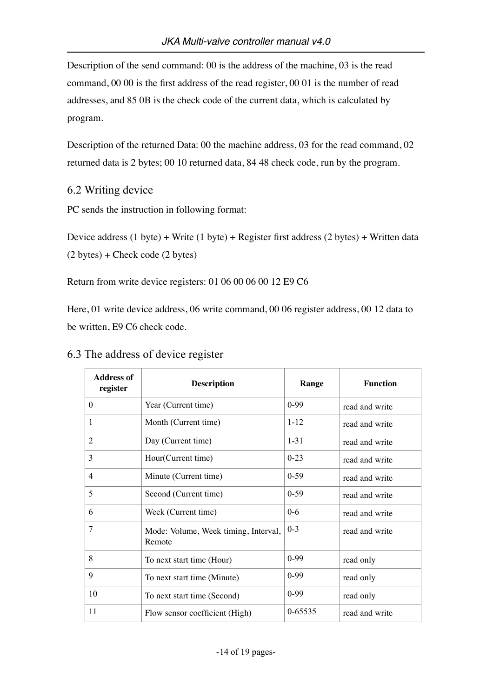Description of the send command: 00 is the address of the machine, 03 is the read command, 00 00 is the first address of the read register, 00 01 is the number of read addresses, and 85 0B is the check code of the current data, which is calculated by program.

Description of the returned Data: 00 the machine address, 03 for the read command, 02 returned data is 2 bytes; 00 10 returned data, 84 48 check code, run by the program.

## 6.2 Writing device

PC sends the instruction in following format:

Device address (1 byte) + Write (1 byte) + Register first address (2 bytes) + Written data (2 bytes) + Check code (2 bytes)

Return from write device registers: 01 06 00 06 00 12 E9 C6

Here, 01 write device address, 06 write command, 00 06 register address, 00 12 data to be written, E9 C6 check code.

| <b>Address of</b><br>register | <b>Description</b>                             | Range    | <b>Function</b> |
|-------------------------------|------------------------------------------------|----------|-----------------|
| $\boldsymbol{0}$              | Year (Current time)                            | $0-99$   | read and write  |
| 1                             | Month (Current time)                           | $1 - 12$ | read and write  |
| $\overline{2}$                | Day (Current time)                             | $1 - 31$ | read and write  |
| 3                             | Hour(Current time)                             | $0 - 23$ | read and write  |
| $\overline{4}$                | Minute (Current time)                          | $0 - 59$ | read and write  |
| 5                             | Second (Current time)                          | $0 - 59$ | read and write  |
| 6                             | Week (Current time)                            | $0-6$    | read and write  |
| 7                             | Mode: Volume, Week timing, Interval,<br>Remote | $0 - 3$  | read and write  |
| 8                             | To next start time (Hour)                      | $0-99$   | read only       |
| 9                             | To next start time (Minute)                    | $0-99$   | read only       |
| 10                            | To next start time (Second)                    | $0-99$   | read only       |
| 11                            | Flow sensor coefficient (High)                 | 0-65535  | read and write  |

### 6.3 The address of device register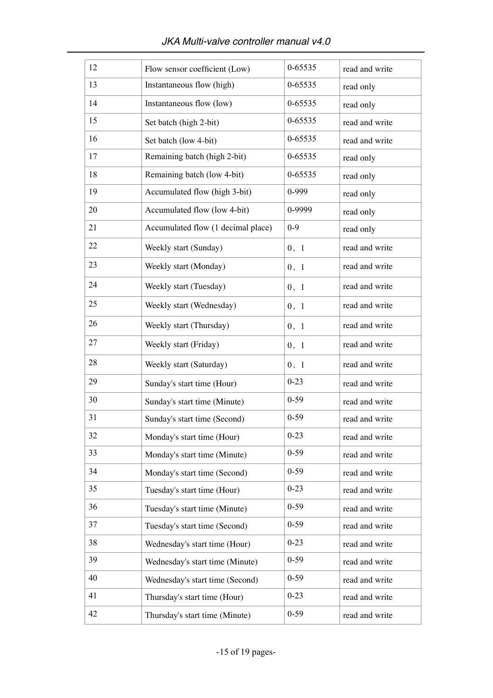| 12 | Flow sensor coefficient (Low)      | 0-65535  | read and write |
|----|------------------------------------|----------|----------------|
| 13 | Instantaneous flow (high)          | 0-65535  | read only      |
| 14 | Instantaneous flow (low)           | 0-65535  | read only      |
| 15 | Set batch (high 2-bit)             | 0-65535  | read and write |
| 16 | Set batch (low 4-bit)              | 0-65535  | read and write |
| 17 | Remaining batch (high 2-bit)       | 0-65535  | read only      |
| 18 | Remaining batch (low 4-bit)        | 0-65535  | read only      |
| 19 | Accumulated flow (high 3-bit)      | 0-999    | read only      |
| 20 | Accumulated flow (low 4-bit)       | 0-9999   | read only      |
| 21 | Accumulated flow (1 decimal place) | $0 - 9$  | read only      |
| 22 | Weekly start (Sunday)              | 0, 1     | read and write |
| 23 | Weekly start (Monday)              | 0, 1     | read and write |
| 24 | Weekly start (Tuesday)             | 0, 1     | read and write |
| 25 | Weekly start (Wednesday)           | 0, 1     | read and write |
| 26 | Weekly start (Thursday)            | 0, 1     | read and write |
| 27 | Weekly start (Friday)              | 0, 1     | read and write |
| 28 | Weekly start (Saturday)            | 0, 1     | read and write |
| 29 | Sunday's start time (Hour)         | $0 - 23$ | read and write |
| 30 | Sunday's start time (Minute)       | $0 - 59$ | read and write |
| 31 | Sunday's start time (Second)       | $0 - 59$ | read and write |
| 32 | Monday's start time (Hour)         | $0 - 23$ | read and write |
| 33 | Monday's start time (Minute)       | $0 - 59$ | read and write |
| 34 | Monday's start time (Second)       | $0 - 59$ | read and write |
| 35 | Tuesday's start time (Hour)        | $0 - 23$ | read and write |
| 36 | Tuesday's start time (Minute)      | $0 - 59$ | read and write |
| 37 | Tuesday's start time (Second)      | $0 - 59$ | read and write |
| 38 | Wednesday's start time (Hour)      | $0 - 23$ | read and write |
| 39 | Wednesday's start time (Minute)    | $0 - 59$ | read and write |
| 40 | Wednesday's start time (Second)    | $0 - 59$ | read and write |
| 41 | Thursday's start time (Hour)       | $0 - 23$ | read and write |
| 42 | Thursday's start time (Minute)     | $0 - 59$ | read and write |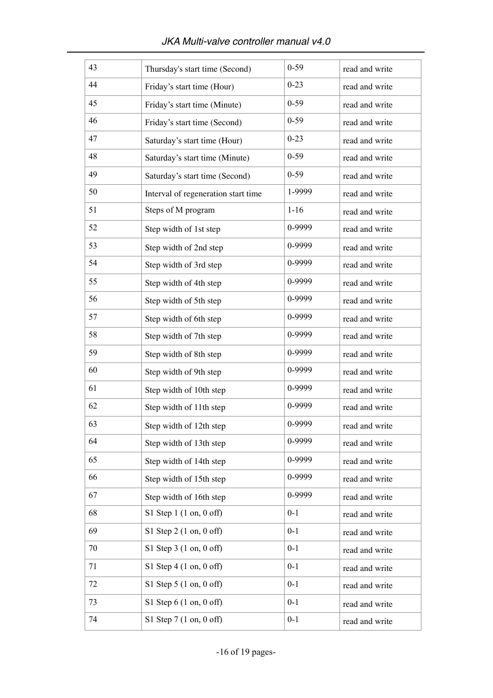| 43 | Thursday's start time (Second)           | $0 - 59$ | read and write |
|----|------------------------------------------|----------|----------------|
| 44 | Friday's start time (Hour)               | $0 - 23$ | read and write |
| 45 | Friday's start time (Minute)             | $0 - 59$ | read and write |
| 46 | Friday's start time (Second)             | $0 - 59$ | read and write |
| 47 | Saturday's start time (Hour)             | $0 - 23$ | read and write |
| 48 | Saturday's start time (Minute)           | $0 - 59$ | read and write |
| 49 | Saturday's start time (Second)           | $0 - 59$ | read and write |
| 50 | Interval of regeneration start time      | 1-9999   | read and write |
| 51 | Steps of M program                       | $1 - 16$ | read and write |
| 52 | Step width of 1st step                   | 0-9999   | read and write |
| 53 | Step width of 2nd step                   | 0-9999   | read and write |
| 54 | Step width of 3rd step                   | 0-9999   | read and write |
| 55 | Step width of 4th step                   | 0-9999   | read and write |
| 56 | Step width of 5th step                   | 0-9999   | read and write |
| 57 | Step width of 6th step                   | 0-9999   | read and write |
| 58 | Step width of 7th step                   | 0-9999   | read and write |
| 59 | Step width of 8th step                   | 0-9999   | read and write |
| 60 | Step width of 9th step                   | 0-9999   | read and write |
| 61 | Step width of 10th step                  | 0-9999   | read and write |
| 62 | Step width of 11th step                  | 0-9999   | read and write |
| 63 | Step width of 12th step                  | 0-9999   | read and write |
| 64 | Step width of 13th step                  | 0-9999   | read and write |
| 65 | Step width of 14th step                  | 0-9999   | read and write |
| 66 | Step width of 15th step                  | 0-9999   | read and write |
| 67 | Step width of 16th step                  | 0-9999   | read and write |
| 68 | S1 Step $1(1 \text{ on}, 0 \text{ off})$ | $0 - 1$  | read and write |
| 69 | S1 Step $2(1 \text{ on}, 0 \text{ off})$ | $0 - 1$  | read and write |
| 70 | S1 Step $3(1 \text{ on}, 0 \text{ off})$ | $0 - 1$  | read and write |
| 71 | $S1$ Step 4 (1 on, 0 off)                | $0 - 1$  | read and write |
| 72 | S1 Step $5(1 \text{ on}, 0 \text{ off})$ | $0 - 1$  | read and write |
| 73 | S1 Step $6(1 \text{ on}, 0 \text{ off})$ | $0 - 1$  | read and write |
| 74 | S1 Step $7(1 \text{ on}, 0 \text{ off})$ | $0 - 1$  | read and write |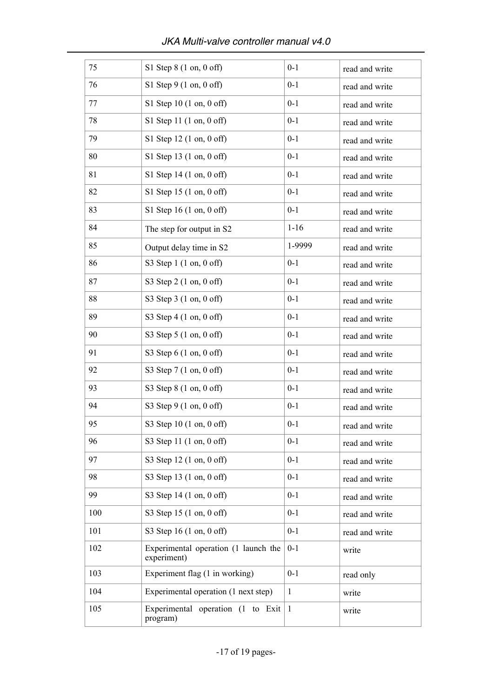| 75  | $S1$ Step 8 (1 on, 0 off)                           | $0 - 1$      | read and write |
|-----|-----------------------------------------------------|--------------|----------------|
| 76  | S1 Step $9(1 \text{ on}, 0 \text{ off})$            | $0 - 1$      | read and write |
| 77  | S1 Step 10 $(1 \text{ on}, 0 \text{ off})$          | $0 - 1$      | read and write |
| 78  | S1 Step 11 (1 on, 0 off)                            | $0 - 1$      | read and write |
| 79  | S1 Step 12 (1 on, 0 off)                            | $0 - 1$      | read and write |
| 80  | S1 Step 13 $(1 \text{ on}, 0 \text{ off})$          | $0 - 1$      | read and write |
| 81  | S1 Step $14(1 \text{ on}, 0 \text{ off})$           | $0 - 1$      | read and write |
| 82  | S1 Step 15 (1 on, 0 off)                            | $0 - 1$      | read and write |
| 83  | S1 Step 16 $(1 \text{ on}, 0 \text{ off})$          | $0 - 1$      | read and write |
| 84  | The step for output in S2                           | $1 - 16$     | read and write |
| 85  | Output delay time in S2                             | 1-9999       | read and write |
| 86  | S3 Step $1(1 \text{ on}, 0 \text{ off})$            | $0 - 1$      | read and write |
| 87  | S3 Step 2 (1 on, 0 off)                             | $0 - 1$      | read and write |
| 88  | S3 Step 3 (1 on, 0 off)                             | $0 - 1$      | read and write |
| 89  | S3 Step 4 (1 on, 0 off)                             | $0 - 1$      | read and write |
| 90  | S3 Step 5 (1 on, 0 off)                             | $0 - 1$      | read and write |
| 91  | S3 Step 6 (1 on, 0 off)                             | $0 - 1$      | read and write |
| 92  | S3 Step 7 (1 on, 0 off)                             | $0 - 1$      | read and write |
| 93  | S3 Step 8 (1 on, 0 off)                             | $0 - 1$      | read and write |
| 94  | S3 Step 9 (1 on, 0 off)                             | $0 - 1$      | read and write |
| 95  | S3 Step 10 (1 on, 0 off)                            | $0 - 1$      | read and write |
| 96  | S3 Step 11 (1 on, 0 off)                            | $0 - 1$      | read and write |
| 97  | S3 Step 12 (1 on, 0 off)                            | $0 - 1$      | read and write |
| 98  | S3 Step 13 (1 on, 0 off)                            | $0 - 1$      | read and write |
| 99  | S3 Step 14 (1 on, 0 off)                            | $0 - 1$      | read and write |
| 100 | S3 Step 15 (1 on, 0 off)                            | $0 - 1$      | read and write |
| 101 | S3 Step 16 (1 on, 0 off)                            | $0 - 1$      | read and write |
| 102 | Experimental operation (1 launch the<br>experiment) | $0 - 1$      | write          |
| 103 | Experiment flag (1 in working)                      | $0 - 1$      | read only      |
| 104 | Experimental operation (1 next step)                | $\mathbf{1}$ | write          |
| 105 | Experimental operation (1 to Exit<br>program)       | -1           | write          |